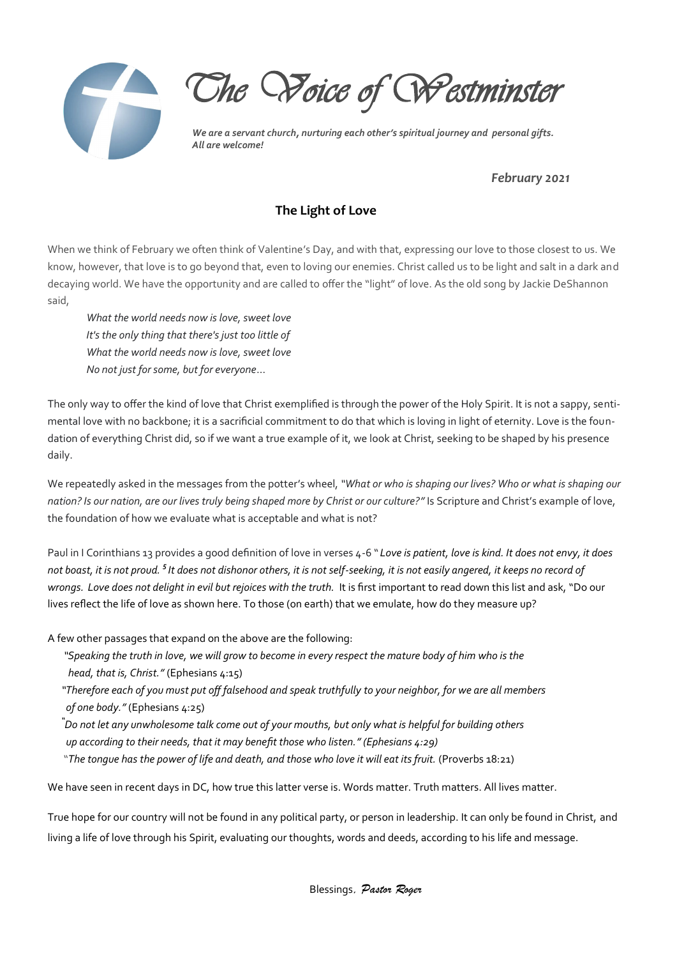

*The Voice of Westminster* 

*We are a servant church, nurturing each other's spiritual journey and personal gifts. All are welcome!*

#### *February 2021*

## **The Light of Love**

When we think of February we often think of Valentine's Day, and with that, expressing our love to those closest to us. We know, however, that love is to go beyond that, even to loving our enemies. Christ called us to be light and salt in a dark and decaying world. We have the opportunity and are called to offer the "light" of love. As the old song by Jackie DeShannon said,

 *What the world needs now is love, sweet love It's the only thing that there's just too little of What the world needs now is love, sweet love No not just for some, but for everyone*…

The only way to offer the kind of love that Christ exemplified is through the power of the Holy Spirit. It is not a sappy, sentimental love with no backbone; it is a sacrificial commitment to do that which is loving in light of eternity. Love is the foundation of everything Christ did, so if we want a true example of it, we look at Christ, seeking to be shaped by his presence daily.

We repeatedly asked in the messages from the potter's wheel, *"What or who is shaping our lives? Who or what is shaping our nation? Is our nation, are our lives truly being shaped more by Christ or our culture?"* Is Scripture and Christ's example of love, the foundation of how we evaluate what is acceptable and what is not?

Paul in I Corinthians 13 provides a good definition of love in verses 4-6 " *Love is patient, love is kind. It does not envy, it does not boast, it is not proud. <sup>5</sup> It does not dishonor others, it is not self-seeking, it is not easily angered, it keeps no record of wrongs. Love does not delight in evil but rejoices with the truth.* It is first important to read down this list and ask, "Do our lives reflect the life of love as shown here. To those (on earth) that we emulate, how do they measure up?

A few other passages that expand on the above are the following:

 *"Speaking the truth in love, we will grow to become in every respect the mature body of him who is the head, that is, Christ."* (Ephesians 4:15)

 *"Therefore each of you must put off falsehood and speak truthfully to your neighbor, for we are all members of one body."* (Ephesians 4:25)

*"Do not let any unwholesome talk come out of your mouths, but only what is helpful for building others up according to their needs, that it may benefit those who listen." (Ephesians 4:29)*

"*The tongue has the power of life and death, and those who love it will eat its fruit.* ([Proverbs 18:21\)](https://www.biblegateway.com/passage/?search=Proverbs%2018%3A21&version=NIV)

We have seen in recent days in DC, how true this latter verse is. Words matter. Truth matters. All lives matter.

True hope for our country will not be found in any political party, or person in leadership. It can only be found in Christ, and living a life of love through his Spirit, evaluating our thoughts, words and deeds, according to his life and message.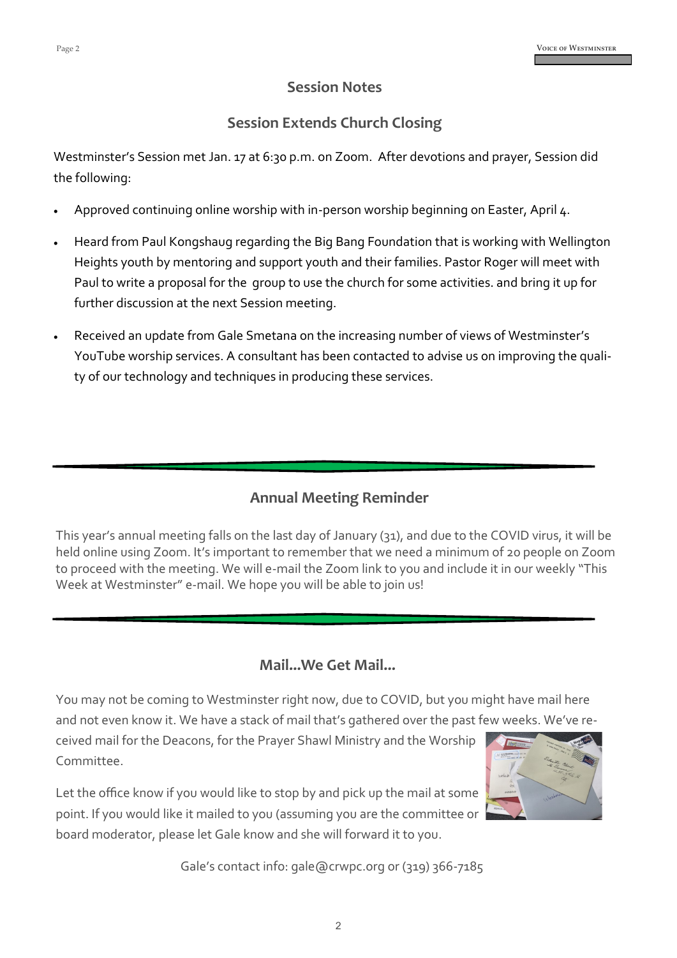#### **Session Notes**

## **Session Extends Church Closing**

Westminster's Session met Jan. 17 at 6:30 p.m. on Zoom. After devotions and prayer, Session did the following:

- Approved continuing online worship with in-person worship beginning on Easter, April 4.
- Heard from Paul Kongshaug regarding the Big Bang Foundation that is working with Wellington Heights youth by mentoring and support youth and their families. Pastor Roger will meet with Paul to write a proposal for the group to use the church for some activities. and bring it up for further discussion at the next Session meeting.
- Received an update from Gale Smetana on the increasing number of views of Westminster's YouTube worship services. A consultant has been contacted to advise us on improving the quality of our technology and techniques in producing these services.

## **Annual Meeting Reminder**

This year's annual meeting falls on the last day of January (31), and due to the COVID virus, it will be held online using Zoom. It's important to remember that we need a minimum of 20 people on Zoom to proceed with the meeting. We will e-mail the Zoom link to you and include it in our weekly "This Week at Westminster" e-mail. We hope you will be able to join us!

## **Mail...We Get Mail...**

You may not be coming to Westminster right now, due to COVID, but you might have mail here and not even know it. We have a stack of mail that's gathered over the past few weeks. We've re-

ceived mail for the Deacons, for the Prayer Shawl Ministry and the Worship Committee.

Let the office know if you would like to stop by and pick up the mail at some point. If you would like it mailed to you (assuming you are the committee or board moderator, please let Gale know and she will forward it to you.



Gale's contact info: gale@crwpc.org or (319) 366-7185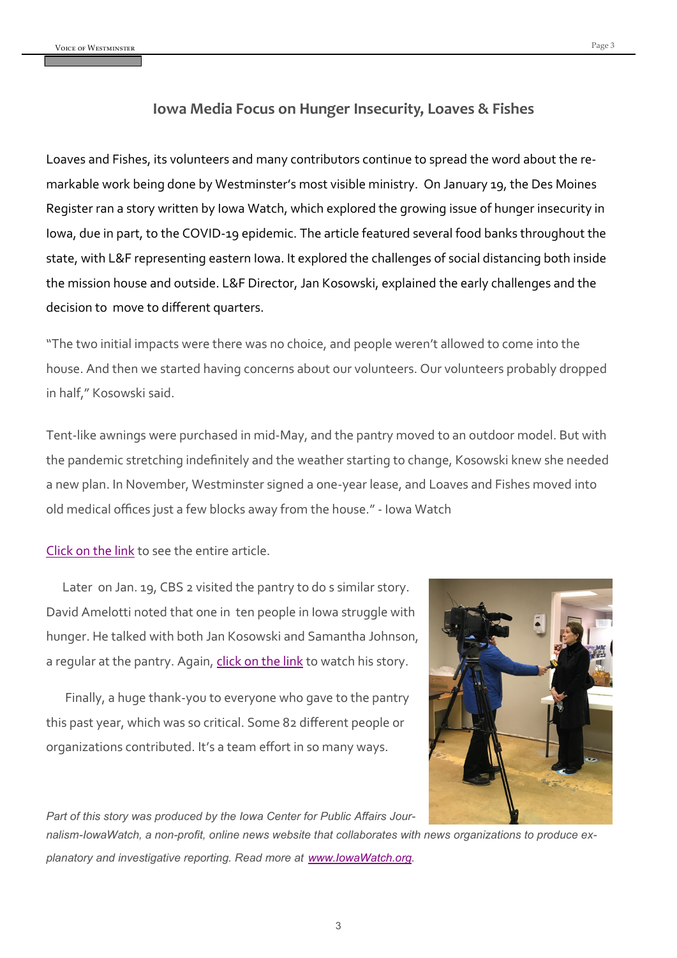#### **Iowa Media Focus on Hunger Insecurity, Loaves & Fishes**

Loaves and Fishes, its volunteers and many contributors continue to spread the word about the remarkable work being done by Westminster's most visible ministry. On January 19, the Des Moines Register ran a story written by Iowa Watch, which explored the growing issue of hunger insecurity in Iowa, due in part, to the COVID-19 epidemic. The article featured several food banks throughout the state, with L&F representing eastern Iowa. It explored the challenges of social distancing both inside the mission house and outside. L&F Director, Jan Kosowski, explained the early challenges and the decision to move to different quarters.

"The two initial impacts were there was no choice, and people weren't allowed to come into the house. And then we started having concerns about our volunteers. Our volunteers probably dropped in half," Kosowski said.

Tent-like awnings were purchased in mid-May, and the pantry moved to an outdoor model. But with the pandemic stretching indefinitely and the weather starting to change, Kosowski knew she needed a new plan. In November, Westminster signed a one-year lease, and Loaves and Fishes moved into old medical offices just a few blocks away from the house." - Iowa Watch

[Click on the link](https://www.iowawatch.org/2021/01/14/iowa-food-pantries-weather-covid-face-unprecedented-storm-coming-this-winter/) to see the entire article.

Later on Jan. 19, CBS 2 visited the pantry to do s similar story. David Amelotti noted that one in ten people in Iowa struggle with hunger. He talked with both Jan Kosowski and Samantha Johnson, a regular at the pantry. Again, [click on the link](https://cbs2iowa.com/news/local/food-insecurity-threatens-area-food-pantries-as-pandemic-strips-regions-resources) to watch his story.

 Finally, a huge thank-you to everyone who gave to the pantry this past year, which was so critical. Some 82 different people or organizations contributed. It's a team effort in so many ways.



*Part of this story was produced by the Iowa Center for Public Affairs Jour-*

*nalism-IowaWatch, a non-profit, online news website that collaborates with news organizations to produce explanatory and investigative reporting. Read more at [www.IowaWatch.org.](https://www.iowawatch.org/)*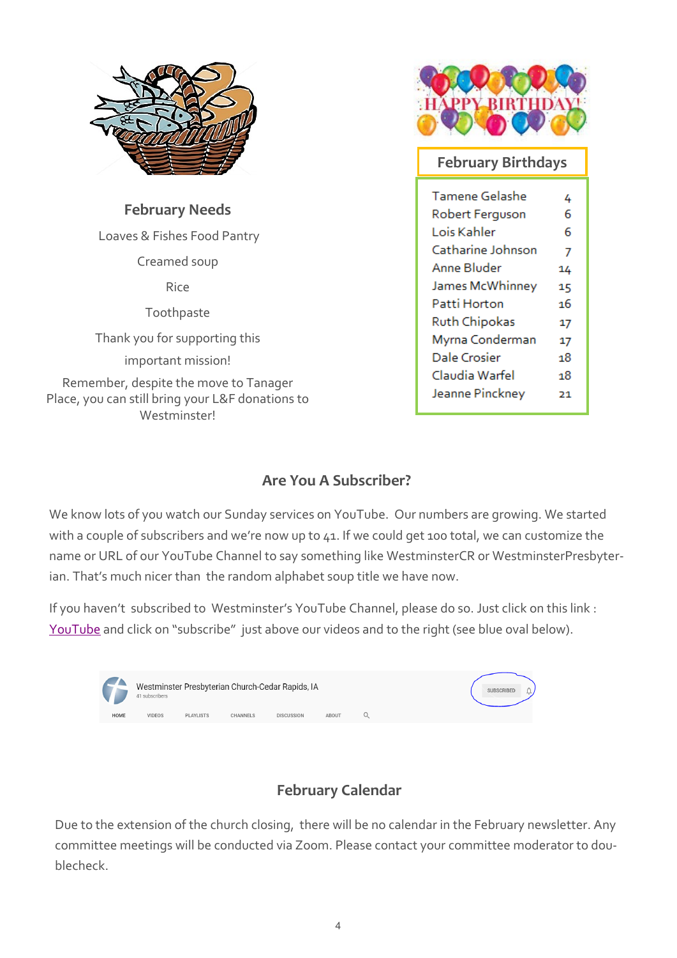

# **February Needs**

Loaves & Fishes Food Pantry Creamed soup

Rice

Toothpaste

Thank you for supporting this important mission! Remember, despite the move to Tanager Place, you can still bring your L&F donations to **Westminster!** 



## **February Birthdays**

| Tamene Gelashe       | 4  |
|----------------------|----|
| Robert Ferguson      | 6  |
| Lois Kahler          | 6  |
| Catharine Johnson    | 7  |
| Anne Bluder          | 14 |
| James McWhinney      | 15 |
| Patti Horton         | 16 |
| <b>Ruth Chipokas</b> | 17 |
| Myrna Conderman      | 17 |
| Dale Crosier         | 18 |
| Claudia Warfel       | 18 |
| Jeanne Pinckney      | 21 |

# **Are You A Subscriber?**

We know lots of you watch our Sunday services on YouTube. Our numbers are growing. We started with a couple of subscribers and we're now up to 41. If we could get 100 total, we can customize the name or URL of our YouTube Channel to say something like WestminsterCR or WestminsterPresbyterian. That's much nicer than the random alphabet soup title we have now.

If you haven't subscribed to Westminster's YouTube Channel, please do so. Just click on this link : [YouTube](mailto:https://www.youtube.com/channel/UCeNqngmrm-oMLTv1sw3NQ6A) and click on "subscribe" just above our videos and to the right (see blue oval below).

|      | Westminster Presbyterian Church-Cedar Rapids, IA<br>41 subscribers |           |          |                   |              |  | <b>SUBSCRIBED</b> |
|------|--------------------------------------------------------------------|-----------|----------|-------------------|--------------|--|-------------------|
| HOME | <b>VIDEOS</b>                                                      | PLAYLISTS | CHANNELS | <b>DISCUSSION</b> | <b>ABOUT</b> |  |                   |

# **February Calendar**

Due to the extension of the church closing, there will be no calendar in the February newsletter. Any committee meetings will be conducted via Zoom. Please contact your committee moderator to doublecheck.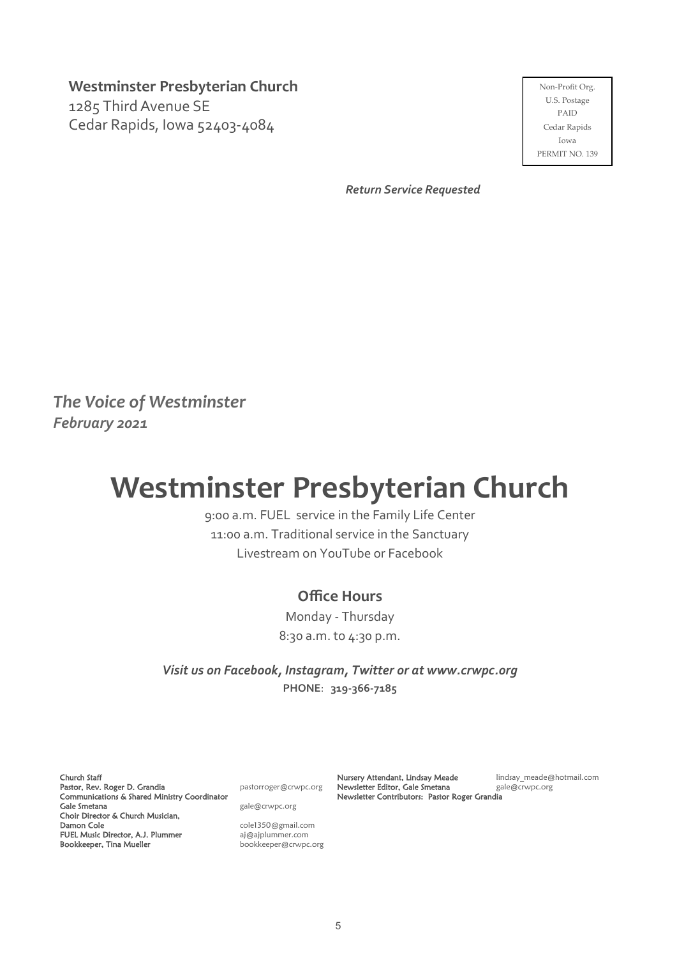**Westminster Presbyterian Church**

1285 Third Avenue SE Cedar Rapids, Iowa 52403-4084

Non-Profit Org. U.S. Postage PAID Cedar Rapids Iowa PERMIT NO. 139

*Return Service Requested*

*The Voice of Westminster February 2021*

# **Westminster Presbyterian Church**

9:00 a.m. FUEL service in the Family Life Center 11:00 a.m. Traditional service in the Sanctuary Livestream on YouTube or Facebook

### **Office Hours**

Monday - Thursday 8:30 a.m. to 4:30 p.m.

*Visit us on Facebook, Instagram, Twitter or at www.crwpc.org* **PHONE**: **319-366-7185**

Church Staff Pastor, Rev. Roger D. Grandia entitled pastorroger@crwpc.org Communications & Shared Ministry Coordinator Gale Smetana and a gale and gale and gale and gale and gale and gale and gale and gale and gale and gale and gale and gale and gale and gale and gale and gale and gale and gale and gale and gale and gale and gale and gale Choir Director & Church Musician, Damon Cole **Cole** cole1350@gmail.com FUEL Music Director, A.J. Plummer<br>FUEL Music Director, A.J. Plummer<br> $a^j$ @ajplummer.com Bookkeeper, Tina Mueller bookkeeper@crwpc.org

Nursery Attendant, Lindsay Meade lindsay\_meade@hotmail.com Newsletter Editor, Gale Smetana Frank gale@crwpc.org Newsletter Contributors: Pastor Roger Grandia